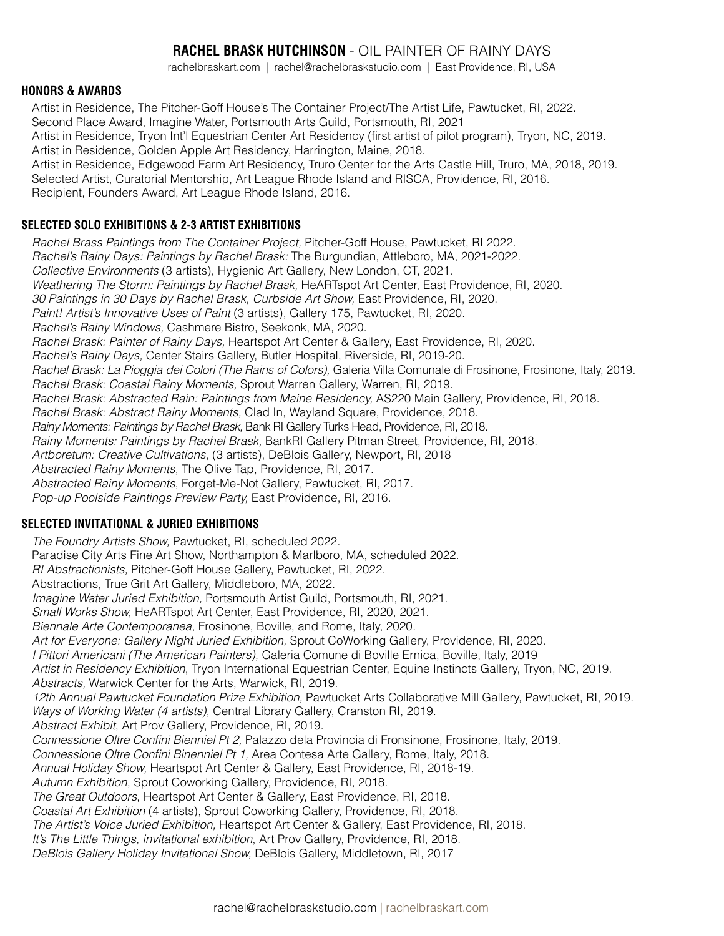# **RACHEL BRASK HUTCHINSON** - OIL PAINTER OF RAINY DAYS

rachelbraskart.com | rachel@rachelbraskstudio.com | East Providence, RI, USA

#### **HONORS & AWARDS**

Artist in Residence, The Pitcher-Goff House's The Container Project/The Artist Life, Pawtucket, RI, 2022. Second Place Award, Imagine Water, Portsmouth Arts Guild, Portsmouth, RI, 2021 Artist in Residence, Tryon Int'l Equestrian Center Art Residency (first artist of pilot program), Tryon, NC, 2019. Artist in Residence, Golden Apple Art Residency, Harrington, Maine, 2018. Artist in Residence, Edgewood Farm Art Residency, Truro Center for the Arts Castle Hill, Truro, MA, 2018, 2019. Selected Artist, Curatorial Mentorship, Art League Rhode Island and RISCA, Providence, RI, 2016. Recipient, Founders Award, Art League Rhode Island, 2016.

## **SELECTED SOLO EXHIBITIONS & 2-3 ARTIST EXHIBITIONS**

*Rachel Brass Paintings from The Container Project,* Pitcher-Goff House, Pawtucket, RI 2022. *Rachel's Rainy Days: Paintings by Rachel Brask:* The Burgundian, Attleboro, MA, 2021-2022. *Collective Environments* (3 artists), Hygienic Art Gallery, New London, CT, 2021. *Weathering The Storm: Paintings by Rachel Brask,* HeARTspot Art Center, East Providence, RI, 2020. *30 Paintings in 30 Days by Rachel Brask, Curbside Art Show,* East Providence, RI, 2020. *Paint! Artist's Innovative Uses of Paint* (3 artists)*,* Gallery 175, Pawtucket, RI, 2020. *Rachel's Rainy Windows,* Cashmere Bistro, Seekonk, MA, 2020. *Rachel Brask: Painter of Rainy Days,* Heartspot Art Center & Gallery, East Providence, RI, 2020. *Rachel's Rainy Days,* Center Stairs Gallery, Butler Hospital, Riverside, RI, 2019-20. *Rachel Brask: La Pioggia dei Colori (The Rains of Colors),* Galeria Villa Comunale di Frosinone, Frosinone, Italy, 2019. *Rachel Brask: Coastal Rainy Moments,* Sprout Warren Gallery, Warren, RI, 2019. *Rachel Brask: Abstracted Rain: Paintings from Maine Residency,* AS220 Main Gallery, Providence, RI, 2018. *Rachel Brask: Abstract Rainy Moments,* Clad In, Wayland Square, Providence, 2018. *Rainy Moments: Paintings by Rachel Brask,* Bank RI Gallery Turks Head, Providence, RI, 2018. *Rainy Moments: Paintings by Rachel Brask,* BankRI Gallery Pitman Street, Providence, RI, 2018. *Artboretum: Creative Cultivations*, (3 artists), DeBlois Gallery, Newport, RI, 2018 *Abstracted Rainy Moments,* The Olive Tap, Providence, RI, 2017. *Abstracted Rainy Moments*, Forget-Me-Not Gallery, Pawtucket, RI, 2017. *Pop-up Poolside Paintings Preview Party,* East Providence, RI, 2016.

## **SELECTED INVITATIONAL & JURIED EXHIBITIONS**

*The Foundry Artists Show,* Pawtucket, RI, scheduled 2022. Paradise City Arts Fine Art Show, Northampton & Marlboro, MA, scheduled 2022. *RI Abstractionists,* Pitcher-Goff House Gallery, Pawtucket, RI, 2022. Abstractions, True Grit Art Gallery, Middleboro, MA, 2022. *Imagine Water Juried Exhibition,* Portsmouth Artist Guild, Portsmouth, RI, 2021. *Small Works Show,* HeARTspot Art Center, East Providence, RI, 2020, 2021. *Biennale Arte Contemporanea*, Frosinone, Boville, and Rome, Italy, 2020. *Art for Everyone: Gallery Night Juried Exhibition,* Sprout CoWorking Gallery, Providence, RI, 2020. *I Pittori Americani (The American Painters),* Galeria Comune di Boville Ernica, Boville, Italy, 2019 *Artist in Residency Exhibition*, Tryon International Equestrian Center, Equine Instincts Gallery, Tryon, NC, 2019. *Abstracts,* Warwick Center for the Arts, Warwick, RI, 2019. 12th Annual Pawtucket Foundation Prize Exhibition, Pawtucket Arts Collaborative Mill Gallery, Pawtucket, RI, 2019. *Ways of Working Water (4 artists),* Central Library Gallery, Cranston RI, 2019. *Abstract Exhibit*, Art Prov Gallery, Providence, RI, 2019. *Connessione Oltre Confini Bienniel Pt 2,* Palazzo dela Provincia di Fronsinone, Frosinone, Italy, 2019. *Connessione Oltre Confini Binenniel Pt 1,* Area Contesa Arte Gallery, Rome, Italy, 2018. *Annual Holiday Show,* Heartspot Art Center & Gallery, East Providence, RI, 2018-19. *Autumn Exhibition*, Sprout Coworking Gallery, Providence, RI, 2018. *The Great Outdoors*, Heartspot Art Center & Gallery, East Providence, RI, 2018. *Coastal Art Exhibition* (4 artists), Sprout Coworking Gallery, Providence, RI, 2018. *The Artist's Voice Juried Exhibition,* Heartspot Art Center & Gallery, East Providence, RI, 2018. *It's The Little Things, invitational exhibition*, Art Prov Gallery, Providence, RI, 2018. *DeBlois Gallery Holiday Invitational Show,* DeBlois Gallery, Middletown, RI, 2017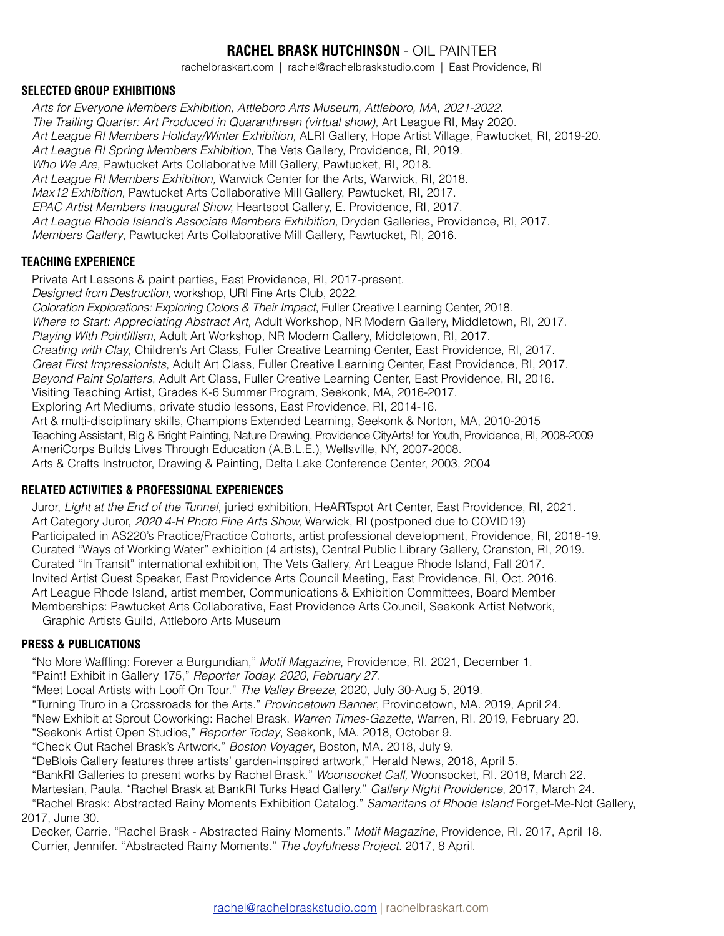# **RACHEL BRASK HUTCHINSON** - OIL PAINTER

rachelbraskart.com | rachel@rachelbraskstudio.com | East Providence, RI

#### **SELECTED GROUP EXHIBITIONS**

*Arts for Everyone Members Exhibition, Attleboro Arts Museum, Attleboro, MA, 2021-2022. The Trailing Quarter: Art Produced in Quaranthreen (virtual show),* Art League RI, May 2020. *Art League RI Members Holiday/Winter Exhibition,* ALRI Gallery, Hope Artist Village, Pawtucket, RI, 2019-20. *Art League RI Spring Members Exhibition,* The Vets Gallery, Providence, RI, 2019. *Who We Are,* Pawtucket Arts Collaborative Mill Gallery, Pawtucket, RI, 2018. *Art League RI Members Exhibition,* Warwick Center for the Arts, Warwick, RI, 2018. *Max12 Exhibition,* Pawtucket Arts Collaborative Mill Gallery, Pawtucket, RI, 2017. *EPAC Artist Members Inaugural Show,* Heartspot Gallery, E. Providence, RI, 2017. *Art League Rhode Island's Associate Members Exhibition,* Dryden Galleries, Providence, RI, 2017. *Members Gallery*, Pawtucket Arts Collaborative Mill Gallery, Pawtucket, RI, 2016.

#### **TEACHING EXPERIENCE**

Private Art Lessons & paint parties, East Providence, RI, 2017-present. *Designed from Destruction,* workshop, URI Fine Arts Club, 2022. *Coloration Explorations: Exploring Colors & Their Impact*, Fuller Creative Learning Center, 2018. *Where to Start: Appreciating Abstract Art,* Adult Workshop, NR Modern Gallery, Middletown, RI, 2017. *Playing With Pointillism*, Adult Art Workshop, NR Modern Gallery, Middletown, RI, 2017. *Creating with Clay*, Children's Art Class, Fuller Creative Learning Center, East Providence, RI, 2017. *Great First Impressionists*, Adult Art Class, Fuller Creative Learning Center, East Providence, RI, 2017. *Beyond Paint Splatters*, Adult Art Class, Fuller Creative Learning Center, East Providence, RI, 2016. Visiting Teaching Artist, Grades K-6 Summer Program, Seekonk, MA, 2016-2017. Exploring Art Mediums, private studio lessons, East Providence, RI, 2014-16. Art & multi-disciplinary skills, Champions Extended Learning, Seekonk & Norton, MA, 2010-2015 Teaching Assistant, Big & Bright Painting, Nature Drawing, Providence CityArts! for Youth, Providence, RI, 2008-2009 AmeriCorps Builds Lives Through Education (A.B.L.E.), Wellsville, NY, 2007-2008. Arts & Crafts Instructor, Drawing & Painting, Delta Lake Conference Center, 2003, 2004

## **RELATED ACTIVITIES & PROFESSIONAL EXPERIENCES**

Juror, *Light at the End of the Tunnel*, juried exhibition, HeARTspot Art Center, East Providence, RI, 2021. Art Category Juror, *2020 4-H Photo Fine Arts Show,* Warwick, RI (postponed due to COVID19) Participated in AS220's Practice/Practice Cohorts, artist professional development, Providence, RI, 2018-19. Curated "Ways of Working Water" exhibition (4 artists), Central Public Library Gallery, Cranston, RI, 2019. Curated "In Transit" international exhibition, The Vets Gallery, Art League Rhode Island, Fall 2017. Invited Artist Guest Speaker, East Providence Arts Council Meeting, East Providence, RI, Oct. 2016. Art League Rhode Island, artist member, Communications & Exhibition Committees, Board Member Memberships: Pawtucket Arts Collaborative, East Providence Arts Council, Seekonk Artist Network, Graphic Artists Guild, Attleboro Arts Museum

#### **PRESS & PUBLICATIONS**

"No More Waffling: Forever a Burgundian," *Motif Magazine*, Providence, RI. 2021, December 1. "Paint! Exhibit in Gallery 175," *Reporter Today. 2020, February 27.*

"Meet Local Artists with Looff On Tour." *The Valley Breeze,* 2020, July 30-Aug 5, 2019.

"Turning Truro in a Crossroads for the Arts." *Provincetown Banner*, Provincetown, MA. 2019, April 24.

"New Exhibit at Sprout Coworking: Rachel Brask. *Warren Times-Gazette*, Warren, RI. 2019, February 20.

"Seekonk Artist Open Studios," *Reporter Today*, Seekonk, MA. 2018, October 9.

"Check Out Rachel Brask's Artwork." *Boston Voyager*, Boston, MA. 2018, July 9.

"DeBlois Gallery features three artists' garden-inspired artwork," Herald News, 2018, April 5.

"BankRI Galleries to present works by Rachel Brask." *Woonsocket Call,* Woonsocket, RI. 2018, March 22.

Martesian, Paula. "Rachel Brask at BankRI Turks Head Gallery." *Gallery Night Providence*, 2017, March 24.

"Rachel Brask: Abstracted Rainy Moments Exhibition Catalog." *Samaritans of Rhode Island* Forget-Me-Not Gallery, 2017, June 30.

Decker, Carrie. "Rachel Brask - Abstracted Rainy Moments." *Motif Magazine*, Providence, RI. 2017, April 18. Currier, Jennifer. "Abstracted Rainy Moments." *The Joyfulness Project*. 2017, 8 April.